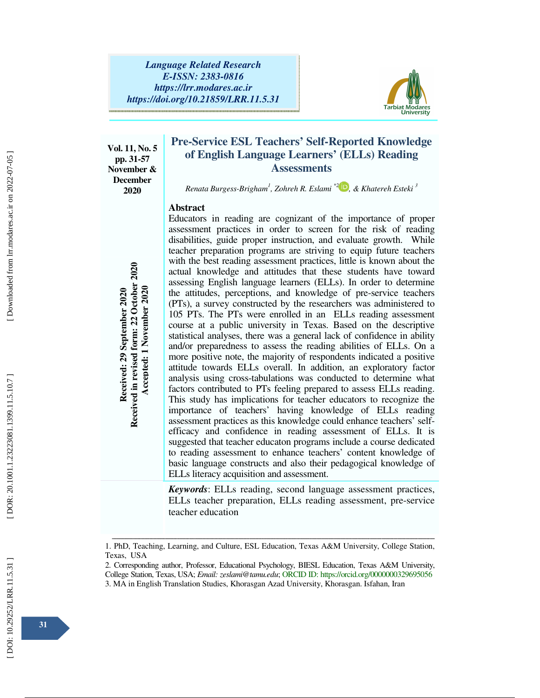

**Vol. 11, No. 5 pp. 31-57 November & December 2020** 

# **Pre-Service ESL Teachers' Self-Reported Knowledge of English Language Learners' (ELLs) Reading Assessments**

*Renata Burgess-Brigham 1 , Zohreh R. Eslami \*2 , & Khatereh Esteki 3*

### **Abstract**

Educators in reading are cognizant of the importance of proper assessment practices in order to screen for the risk of reading disabilities, guide proper instruction, and evaluate growth. While teacher preparation programs are striving to equip future teachers with the best reading assessment practices, little is known about the actual knowledge and attitudes that these students have toward assessing English language learners (ELLs). In order to determine the attitudes, perceptions, and knowledge of pre-service teachers (PTs), a survey constructed by the researchers was administered to 105 PTs. The PTs were enrolled in an ELLs reading assessment course at a public university in Texas. Based on the descriptive statistical analyses, there was a general lack of confidence in ability and/or preparedness to assess the reading abilities of ELLs. On a more positive note, the majority of respondents indicated a positive attitude towards ELLs overall. In addition, an exploratory factor analysis using cross-tabulations was conducted to determine what factors contributed to PTs feeling prepared to assess ELLs reading. This study has implications for teacher educators to recognize the importance of teachers' having knowledge of ELLs reading assessment practices as this knowledge could enhance teachers' selfefficacy and confidence in reading assessment of ELLs. It is suggested that teacher educaton programs include a course dedicated to reading assessment to enhance teachers' content knowledge of basic language constructs and also their pedagogical knowledge of ELLs literacy acquisition and assessment. state and the studies of eachers in an ELLs . In order to determine and assessming English Irangane learners (ELLs). In order to determine an an accepted in an ELLs reading assessminting to PTS. The PTS were emrolled in an

*Keywords*: ELLs reading, second language assessment practices, ELLs teacher preparation, ELLs reading assessment, pre-service teacher education

Downloaded from lrr.modares.ac.ir on 2022-07-05

ــــــــــــــــــــــــــــــــــــــــــــــــــــــــــــــــــــــــــــــــــــــــــــــــــــــــــــــــــــــــــــــــــــــــــــــــــــــــــــــــــــــــــــــــــــــــــــــــــــــــــــــــــــــــــــــــــــــــــــــــــــــــــــــــــــــــــــ 1. PhD, Teaching, Learning, and Culture, ESL Education, Texas A&M University, College Station, Texas, USA

<sup>2.</sup> Corresponding author, Professor, Educational Psychology, BIESL Education, Texas A&M University, College Station, Texas, USA; *Email: zeslami@tamu.edu*; ORCID ID: https://orcid.org/0000000329695056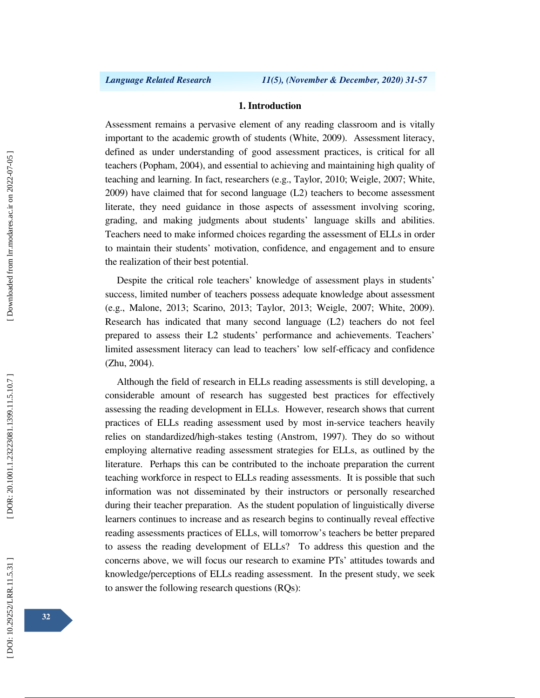### **1. Introduction**

Assessment remains a pervasive element of any reading classroom and is vitally important to the academic growth of students (White, 2009). Assessment literacy, defined as under understanding of good assessment practices, is critical for all teachers (Popham, 2004), and essential to achieving and maintaining high quality of teaching and learning. In fact, researchers (e.g., Taylor, 2010; Weigle, 2007; White, 2009) have claimed that for second language (L2) teachers to become assessment literate, they need guidance in those aspects of assessment involving scoring, grading, and making judgments about students' language skills and abilities. Teachers need to make informed choices regarding the assessment of ELLs in order to maintain their students' motivation, confidence, and engagement and to ensure the realization of their best potential.

Despite the critical role teachers' knowledge of assessment plays in students' success, limited number of teachers possess adequate knowledge about assessment (e.g., Malone, 2013; Scarino, 2013; Taylor, 2013; Weigle, 2007; White, 2009). Research has indicated that many second language (L2) teachers do not feel prepared to assess their L2 students' performance and achievements. Teachers' limited assessment literacy can lead to teachers' low self-efficacy and confidence (Zhu, 2004).

Although the field of research in ELLs reading assessments is still developing, a considerable amount of research has suggested best practices for effectively assessing the reading development in ELLs. However, research shows that current practices of ELLs reading assessment used by most in-service teachers heavily relies on standardized/high-stakes testing (Anstrom, 1997). They do so without employing alternative reading assessment strategies for ELLs, as outlined by the literature. Perhaps this can be contributed to the inchoate preparation the current teaching workforce in respect to ELLs reading assessments. It is possible that such information was not disseminated by their instructors or personally researched during their teacher preparation. As the student population of linguistically diverse learners continues to increase and as research begins to continually reveal effective reading assessments practices of ELLs, will tomorrow's teachers be better prepared to assess the reading development of ELLs? To address this question and the concerns above, we will focus our research to examine PTs' attitudes towards and knowledge/perceptions of ELLs reading assessment. In the present study, we seek to answer the following research questions (RQs):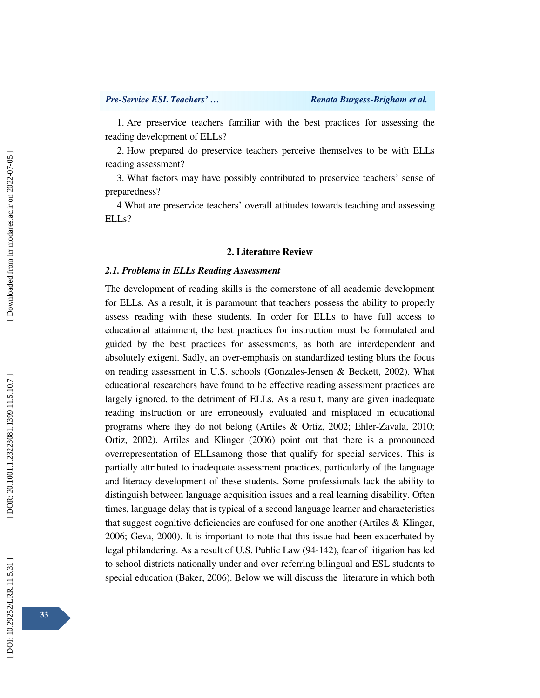1. Are preservice teachers familiar with the best practices for assessing the reading development of ELLs?

2. How prepared do preservice teachers perceive themselves to be with ELLs reading assessment?

3. What factors may have possibly contributed to preservice teachers' sense of preparedness?

4.What are preservice teachers' overall attitudes towards teaching and assessing ELLs?

# **2. Literature Review**

### *2.1. Problems in ELLs Reading Assessment*

The development of reading skills is the cornerstone of all academic development for ELLs. As a result, it is paramount that teachers possess the ability to properly assess reading with these students. In order for ELLs to have full access to educational attainment, the best practices for instruction must be formulated and guided by the best practices for assessments, as both are interdependent and absolutely exigent. Sadly, an over-emphasis on standardized testing blurs the focus on reading assessment in U.S. schools (Gonzales-Jensen & Beckett, 2002). What educational researchers have found to be effective reading assessment practices are largely ignored, to the detriment of ELLs. As a result, many are given inadequate reading instruction or are erroneously evaluated and misplaced in educational programs where they do not belong (Artiles & Ortiz, 2002; Ehler-Zavala, 2010; Ortiz, 2002). Artiles and Klinger (2006) point out that there is a pronounced overrepresentation of ELLsamong those that qualify for special services. This is partially attributed to inadequate assessment practices, particularly of the language and literacy development of these students. Some professionals lack the ability to distinguish between language acquisition issues and a real learning disability. Often times, language delay that is typical of a second language learner and characteristics that suggest cognitive deficiencies are confused for one another (Artiles & Klinger, 2006; Geva, 2000). It is important to note that this issue had been exacerbated by legal philandering. As a result of U.S. Public Law (94-142), fear of litigation has led to school districts nationally under and over referring bilingual and ESL students to special education (Baker, 2006). Below we will discuss the literature in which both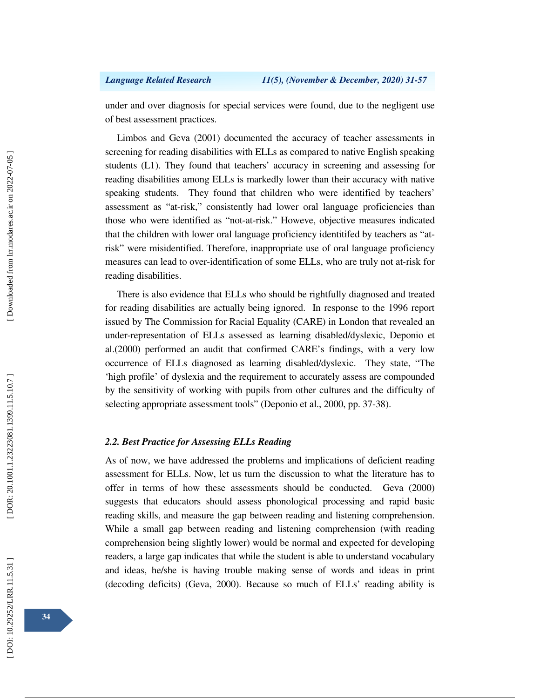under and over diagnosis for special services were found, due to the negligent use of best assessment practices.

Limbos and Geva (2001) documented the accuracy of teacher assessments in screening for reading disabilities with ELLs as compared to native English speaking students (L1). They found that teachers' accuracy in screening and assessing for reading disabilities among ELLs is markedly lower than their accuracy with native speaking students. They found that children who were identified by teachers' assessment as "at-risk," consistently had lower oral language proficiencies than those who were identified as "not-at-risk." Howeve, objective measures indicated that the children with lower oral language proficiency identitifed by teachers as "atrisk" were misidentified. Therefore, inappropriate use of oral language proficiency measures can lead to over-identification of some ELLs, who are truly not at-risk for reading disabilities.

There is also evidence that ELLs who should be rightfully diagnosed and treated for reading disabilities are actually being ignored. In response to the 1996 report issued by The Commission for Racial Equality (CARE) in London that revealed an under-representation of ELLs assessed as learning disabled/dyslexic, Deponio et al.(2000) performed an audit that confirmed CARE's findings, with a very low occurrence of ELLs diagnosed as learning disabled/dyslexic. They state, "The 'high profile' of dyslexia and the requirement to accurately assess are compounded by the sensitivity of working with pupils from other cultures and the difficulty of selecting appropriate assessment tools" (Deponio et al., 2000, pp. 37-38).

### *2.2. Best Practice for Assessing ELLs Reading*

As of now, we have addressed the problems and implications of deficient reading assessment for ELLs. Now, let us turn the discussion to what the literature has to offer in terms of how these assessments should be conducted. Geva (2000) suggests that educators should assess phonological processing and rapid basic reading skills, and measure the gap between reading and listening comprehension. While a small gap between reading and listening comprehension (with reading comprehension being slightly lower) would be normal and expected for developing readers, a large gap indicates that while the student is able to understand vocabulary and ideas, he/she is having trouble making sense of words and ideas in print (decoding deficits) (Geva, 2000). Because so much of ELLs' reading ability is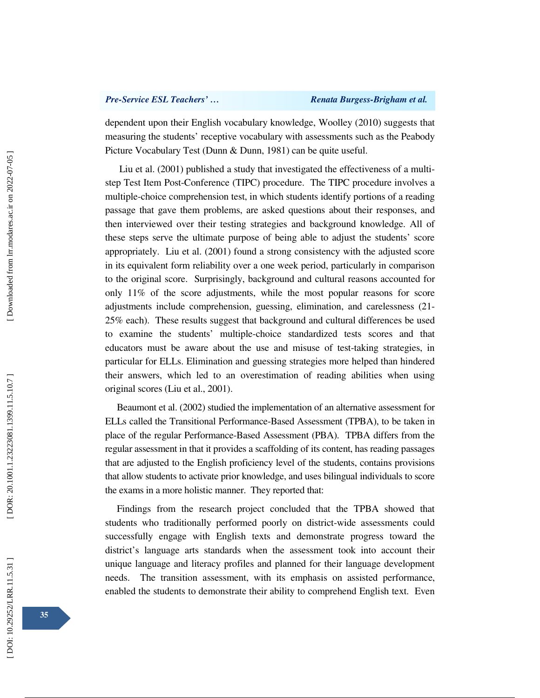dependent upon their English vocabulary knowledge, Woolley (2010) suggests that measuring the students' receptive vocabulary with assessments such as the Peabody Picture Vocabulary Test (Dunn & Dunn, 1981) can be quite useful.

 Liu et al. (2001) published a study that investigated the effectiveness of a multistep Test Item Post-Conference (TIPC) procedure. The TIPC procedure involves a multiple-choice comprehension test, in which students identify portions of a reading passage that gave them problems, are asked questions about their responses, and then interviewed over their testing strategies and background knowledge. All of these steps serve the ultimate purpose of being able to adjust the students' score appropriately. Liu et al. (2001) found a strong consistency with the adjusted score in its equivalent form reliability over a one week period, particularly in comparison to the original score. Surprisingly, background and cultural reasons accounted for only 11% of the score adjustments, while the most popular reasons for score adjustments include comprehension, guessing, elimination, and carelessness (21- 25% each). These results suggest that background and cultural differences be used to examine the students' multiple-choice standardized tests scores and that educators must be aware about the use and misuse of test-taking strategies, in particular for ELLs. Elimination and guessing strategies more helped than hindered their answers, which led to an overestimation of reading abilities when using original scores (Liu et al., 2001).

Beaumont et al. (2002) studied the implementation of an alternative assessment for ELLs called the Transitional Performance-Based Assessment (TPBA), to be taken in place of the regular Performance-Based Assessment (PBA). TPBA differs from the regular assessment in that it provides a scaffolding of its content, has reading passages that are adjusted to the English proficiency level of the students, contains provisions that allow students to activate prior knowledge, and uses bilingual individuals to score the exams in a more holistic manner. They reported that:

Findings from the research project concluded that the TPBA showed that students who traditionally performed poorly on district-wide assessments could successfully engage with English texts and demonstrate progress toward the district's language arts standards when the assessment took into account their unique language and literacy profiles and planned for their language development needs. The transition assessment, with its emphasis on assisted performance, enabled the students to demonstrate their ability to comprehend English text. Even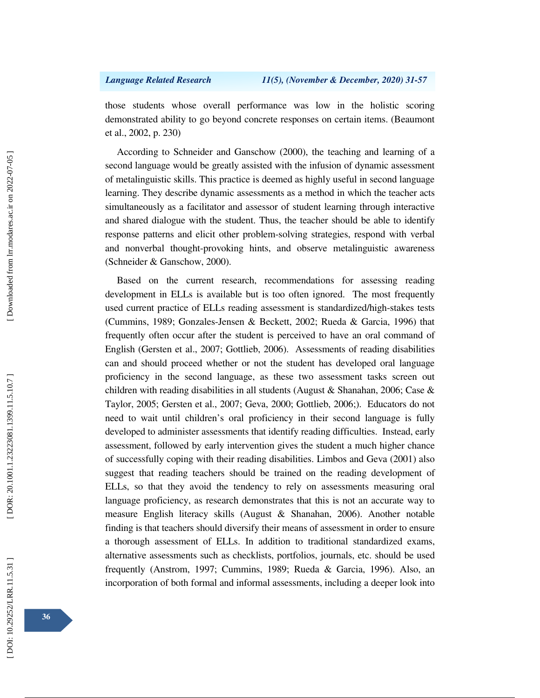those students whose overall performance was low in the holistic scoring demonstrated ability to go beyond concrete responses on certain items. (Beaumont et al., 2002, p. 230)

According to Schneider and Ganschow (2000), the teaching and learning of a second language would be greatly assisted with the infusion of dynamic assessment of metalinguistic skills. This practice is deemed as highly useful in second language learning. They describe dynamic assessments as a method in which the teacher acts simultaneously as a facilitator and assessor of student learning through interactive and shared dialogue with the student. Thus, the teacher should be able to identify response patterns and elicit other problem-solving strategies, respond with verbal and nonverbal thought-provoking hints, and observe metalinguistic awareness (Schneider & Ganschow, 2000).

Based on the current research, recommendations for assessing reading development in ELLs is available but is too often ignored. The most frequently used current practice of ELLs reading assessment is standardized/high-stakes tests (Cummins, 1989; Gonzales-Jensen & Beckett, 2002; Rueda & Garcia, 1996) that frequently often occur after the student is perceived to have an oral command of English (Gersten et al., 2007; Gottlieb, 2006). Assessments of reading disabilities can and should proceed whether or not the student has developed oral language proficiency in the second language, as these two assessment tasks screen out children with reading disabilities in all students (August & Shanahan, 2006; Case & Taylor, 2005; Gersten et al., 2007; Geva, 2000; Gottlieb, 2006;). Educators do not need to wait until children's oral proficiency in their second language is fully developed to administer assessments that identify reading difficulties. Instead, early assessment, followed by early intervention gives the student a much higher chance of successfully coping with their reading disabilities. Limbos and Geva (2001) also suggest that reading teachers should be trained on the reading development of ELLs, so that they avoid the tendency to rely on assessments measuring oral language proficiency, as research demonstrates that this is not an accurate way to measure English literacy skills (August & Shanahan, 2006). Another notable finding is that teachers should diversify their means of assessment in order to ensure a thorough assessment of ELLs. In addition to traditional standardized exams, alternative assessments such as checklists, portfolios, journals, etc. should be used frequently (Anstrom, 1997; Cummins, 1989; Rueda & Garcia, 1996). Also, an incorporation of both formal and informal assessments, including a deeper look into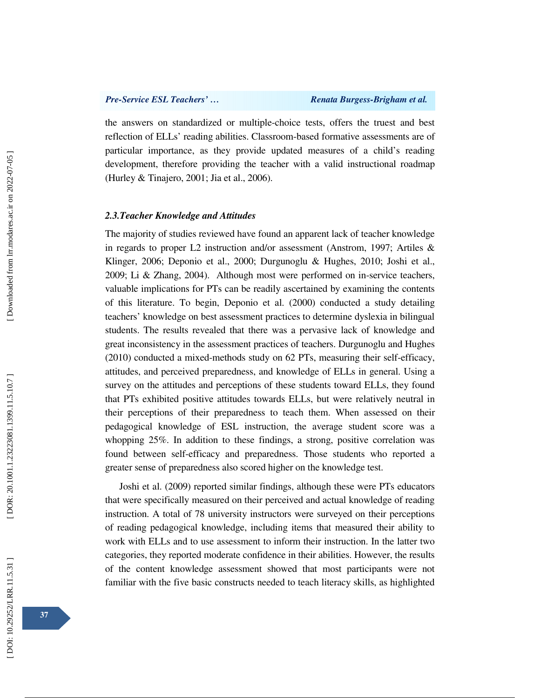the answers on standardized or multiple-choice tests, offers the truest and best reflection of ELLs' reading abilities. Classroom-based formative assessments are of particular importance, as they provide updated measures of a child's reading development, therefore providing the teacher with a valid instructional roadmap (Hurley & Tinajero, 2001; Jia et al., 2006).

### *2.3.Teacher Knowledge and Attitudes*

The majority of studies reviewed have found an apparent lack of teacher knowledge in regards to proper L2 instruction and/or assessment (Anstrom, 1997; Artiles & Klinger, 2006; Deponio et al., 2000; Durgunoglu & Hughes, 2010; Joshi et al., 2009; Li & Zhang, 2004). Although most were performed on in-service teachers, valuable implications for PTs can be readily ascertained by examining the contents of this literature. To begin, Deponio et al. (2000) conducted a study detailing teachers' knowledge on best assessment practices to determine dyslexia in bilingual students. The results revealed that there was a pervasive lack of knowledge and great inconsistency in the assessment practices of teachers. Durgunoglu and Hughes (2010) conducted a mixed-methods study on 62 PTs, measuring their self-efficacy, attitudes, and perceived preparedness, and knowledge of ELLs in general. Using a survey on the attitudes and perceptions of these students toward ELLs, they found that PTs exhibited positive attitudes towards ELLs, but were relatively neutral in their perceptions of their preparedness to teach them. When assessed on their pedagogical knowledge of ESL instruction, the average student score was a whopping 25%. In addition to these findings, a strong, positive correlation was found between self-efficacy and preparedness. Those students who reported a greater sense of preparedness also scored higher on the knowledge test.

 Joshi et al. (2009) reported similar findings, although these were PTs educators that were specifically measured on their perceived and actual knowledge of reading instruction. A total of 78 university instructors were surveyed on their perceptions of reading pedagogical knowledge, including items that measured their ability to work with ELLs and to use assessment to inform their instruction. In the latter two categories, they reported moderate confidence in their abilities. However, the results of the content knowledge assessment showed that most participants were not familiar with the five basic constructs needed to teach literacy skills, as highlighted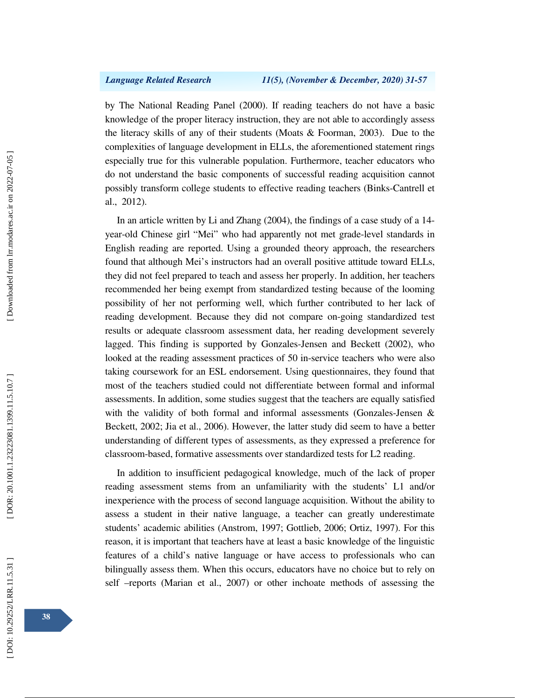by The National Reading Panel (2000). If reading teachers do not have a basic knowledge of the proper literacy instruction, they are not able to accordingly assess the literacy skills of any of their students (Moats & Foorman, 2003). Due to the complexities of language development in ELLs, the aforementioned statement rings especially true for this vulnerable population. Furthermore, teacher educators who do not understand the basic components of successful reading acquisition cannot possibly transform college students to effective reading teachers (Binks-Cantrell et al., 2012).

In an article written by Li and Zhang (2004), the findings of a case study of a 14 year-old Chinese girl "Mei" who had apparently not met grade-level standards in English reading are reported. Using a grounded theory approach, the researchers found that although Mei's instructors had an overall positive attitude toward ELLs, they did not feel prepared to teach and assess her properly. In addition, her teachers recommended her being exempt from standardized testing because of the looming possibility of her not performing well, which further contributed to her lack of reading development. Because they did not compare on-going standardized test results or adequate classroom assessment data, her reading development severely lagged. This finding is supported by Gonzales-Jensen and Beckett (2002), who looked at the reading assessment practices of 50 in-service teachers who were also taking coursework for an ESL endorsement. Using questionnaires, they found that most of the teachers studied could not differentiate between formal and informal assessments. In addition, some studies suggest that the teachers are equally satisfied with the validity of both formal and informal assessments (Gonzales-Jensen & Beckett, 2002; Jia et al., 2006). However, the latter study did seem to have a better understanding of different types of assessments, as they expressed a preference for classroom-based, formative assessments over standardized tests for L2 reading.

In addition to insufficient pedagogical knowledge, much of the lack of proper reading assessment stems from an unfamiliarity with the students' L1 and/or inexperience with the process of second language acquisition. Without the ability to assess a student in their native language, a teacher can greatly underestimate students' academic abilities (Anstrom, 1997; Gottlieb, 2006; Ortiz, 1997). For this reason, it is important that teachers have at least a basic knowledge of the linguistic features of a child's native language or have access to professionals who can bilingually assess them. When this occurs, educators have no choice but to rely on self –reports (Marian et al., 2007) or other inchoate methods of assessing the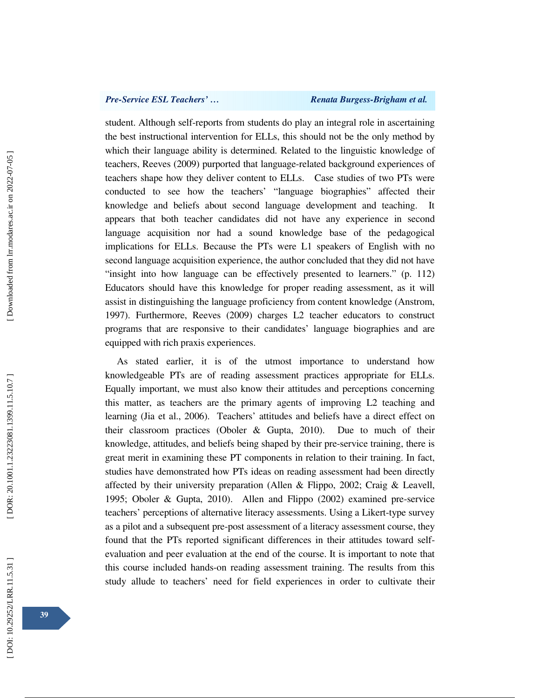student. Although self-reports from students do play an integral role in ascertaining the best instructional intervention for ELLs, this should not be the only method by which their language ability is determined. Related to the linguistic knowledge of teachers, Reeves (2009) purported that language-related background experiences of teachers shape how they deliver content to ELLs. Case studies of two PTs were conducted to see how the teachers' "language biographies" affected their knowledge and beliefs about second language development and teaching. It appears that both teacher candidates did not have any experience in second language acquisition nor had a sound knowledge base of the pedagogical implications for ELLs. Because the PTs were L1 speakers of English with no second language acquisition experience, the author concluded that they did not have "insight into how language can be effectively presented to learners." (p. 112) Educators should have this knowledge for proper reading assessment, as it will assist in distinguishing the language proficiency from content knowledge (Anstrom, 1997). Furthermore, Reeves (2009) charges L2 teacher educators to construct programs that are responsive to their candidates' language biographies and are equipped with rich praxis experiences.

As stated earlier, it is of the utmost importance to understand how knowledgeable PTs are of reading assessment practices appropriate for ELLs. Equally important, we must also know their attitudes and perceptions concerning this matter, as teachers are the primary agents of improving L2 teaching and learning (Jia et al., 2006). Teachers' attitudes and beliefs have a direct effect on their classroom practices (Oboler & Gupta, 2010). Due to much of their knowledge, attitudes, and beliefs being shaped by their pre-service training, there is great merit in examining these PT components in relation to their training. In fact, studies have demonstrated how PTs ideas on reading assessment had been directly affected by their university preparation (Allen & Flippo, 2002; Craig & Leavell, 1995; Oboler & Gupta, 2010). Allen and Flippo (2002) examined pre-service teachers' perceptions of alternative literacy assessments. Using a Likert-type survey as a pilot and a subsequent pre-post assessment of a literacy assessment course, they found that the PTs reported significant differences in their attitudes toward selfevaluation and peer evaluation at the end of the course. It is important to note that this course included hands-on reading assessment training. The results from this study allude to teachers' need for field experiences in order to cultivate their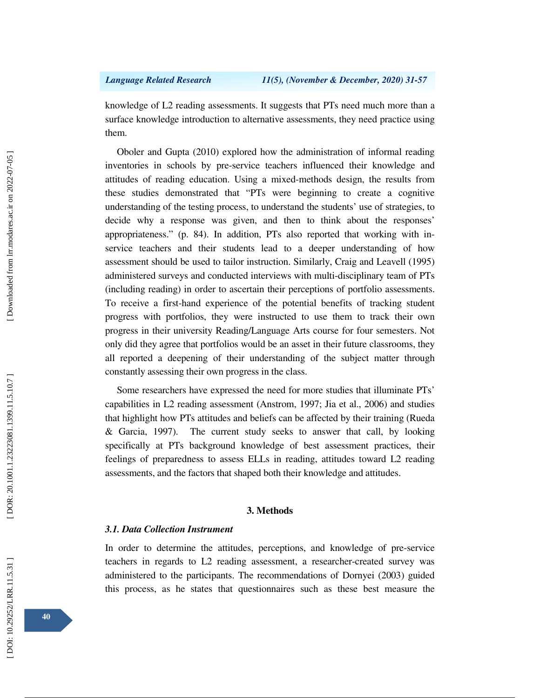knowledge of L2 reading assessments. It suggests that PTs need much more than a surface knowledge introduction to alternative assessments, they need practice using them.

Oboler and Gupta (2010) explored how the administration of informal reading inventories in schools by pre-service teachers influenced their knowledge and attitudes of reading education. Using a mixed-methods design, the results from these studies demonstrated that "PTs were beginning to create a cognitive understanding of the testing process, to understand the students' use of strategies, to decide why a response was given, and then to think about the responses' appropriateness." (p. 84). In addition, PTs also reported that working with inservice teachers and their students lead to a deeper understanding of how assessment should be used to tailor instruction. Similarly, Craig and Leavell (1995) administered surveys and conducted interviews with multi-disciplinary team of PTs (including reading) in order to ascertain their perceptions of portfolio assessments. To receive a first-hand experience of the potential benefits of tracking student progress with portfolios, they were instructed to use them to track their own progress in their university Reading/Language Arts course for four semesters. Not only did they agree that portfolios would be an asset in their future classrooms, they all reported a deepening of their understanding of the subject matter through constantly assessing their own progress in the class.

Some researchers have expressed the need for more studies that illuminate PTs' capabilities in L2 reading assessment (Anstrom, 1997; Jia et al., 2006) and studies that highlight how PTs attitudes and beliefs can be affected by their training (Rueda & Garcia, 1997). The current study seeks to answer that call, by looking specifically at PTs background knowledge of best assessment practices, their feelings of preparedness to assess ELLs in reading, attitudes toward L2 reading assessments, and the factors that shaped both their knowledge and attitudes.

### **3. Methods**

## *3.1. Data Collection Instrument*

In order to determine the attitudes, perceptions, and knowledge of pre-service teachers in regards to L2 reading assessment, a researcher-created survey was administered to the participants. The recommendations of Dornyei (2003) guided this process, as he states that questionnaires such as these best measure the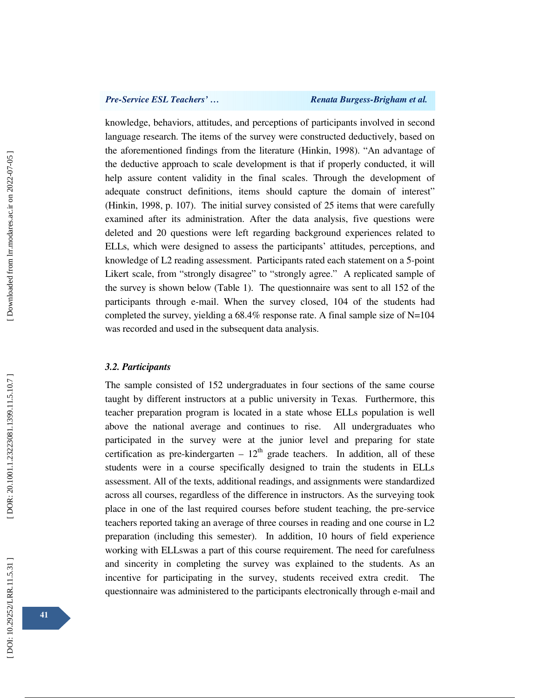### *Pre-Service ESL Teachers'* ... *Renata Burgess-Brigham et al.*

knowledge, behaviors, attitudes, and perceptions of participants involved in second language research. The items of the survey were constructed deductively, based on the aforementioned findings from the literature (Hinkin, 1998). "An advantage of the deductive approach to scale development is that if properly conducted, it will help assure content validity in the final scales. Through the development of adequate construct definitions, items should capture the domain of interest" (Hinkin, 1998, p. 107). The initial survey consisted of 25 items that were carefully examined after its administration. After the data analysis, five questions were deleted and 20 questions were left regarding background experiences related to ELLs, which were designed to assess the participants' attitudes, perceptions, and knowledge of L2 reading assessment. Participants rated each statement on a 5-point Likert scale, from "strongly disagree" to "strongly agree." A replicated sample of the survey is shown below (Table 1). The questionnaire was sent to all 152 of the participants through e-mail. When the survey closed, 104 of the students had completed the survey, yielding a 68.4% response rate. A final sample size of N=104 was recorded and used in the subsequent data analysis.

### *3.2. Participants*

The sample consisted of 152 undergraduates in four sections of the same course taught by different instructors at a public university in Texas. Furthermore, this teacher preparation program is located in a state whose ELLs population is well above the national average and continues to rise. All undergraduates who participated in the survey were at the junior level and preparing for state certification as pre-kindergarten –  $12<sup>th</sup>$  grade teachers. In addition, all of these students were in a course specifically designed to train the students in ELLs assessment. All of the texts, additional readings, and assignments were standardized across all courses, regardless of the difference in instructors. As the surveying took place in one of the last required courses before student teaching, the pre-service teachers reported taking an average of three courses in reading and one course in L2 preparation (including this semester). In addition, 10 hours of field experience working with ELLswas a part of this course requirement. The need for carefulness and sincerity in completing the survey was explained to the students. As an incentive for participating in the survey, students received extra credit. The questionnaire was administered to the participants electronically through e-mail and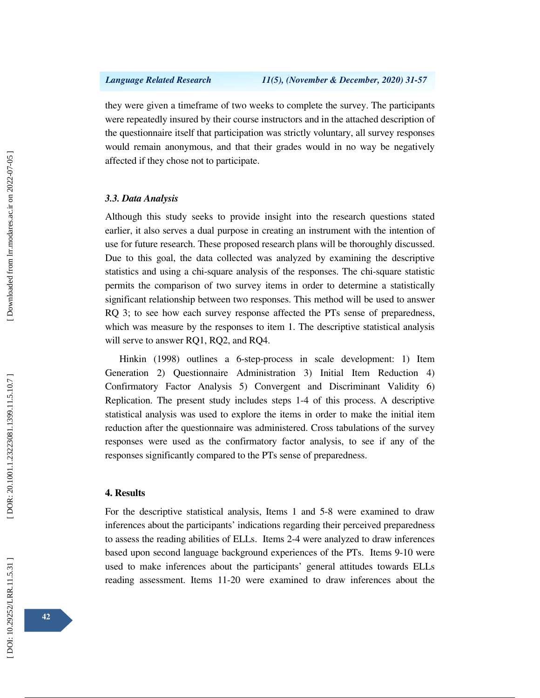they were given a timeframe of two weeks to complete the survey. The participants were repeatedly insured by their course instructors and in the attached description of the questionnaire itself that participation was strictly voluntary, all survey responses would remain anonymous, and that their grades would in no way be negatively affected if they chose not to participate.

### *3.3. Data Analysis*

Although this study seeks to provide insight into the research questions stated earlier, it also serves a dual purpose in creating an instrument with the intention of use for future research. These proposed research plans will be thoroughly discussed. Due to this goal, the data collected was analyzed by examining the descriptive statistics and using a chi-square analysis of the responses. The chi-square statistic permits the comparison of two survey items in order to determine a statistically significant relationship between two responses. This method will be used to answer RQ 3; to see how each survey response affected the PTs sense of preparedness, which was measure by the responses to item 1. The descriptive statistical analysis will serve to answer RQ1, RQ2, and RQ4.

 Hinkin (1998) outlines a 6-step-process in scale development: 1) Item Generation 2) Questionnaire Administration 3) Initial Item Reduction 4) Confirmatory Factor Analysis 5) Convergent and Discriminant Validity 6) Replication. The present study includes steps 1-4 of this process. A descriptive statistical analysis was used to explore the items in order to make the initial item reduction after the questionnaire was administered. Cross tabulations of the survey responses were used as the confirmatory factor analysis, to see if any of the responses significantly compared to the PTs sense of preparedness.

### **4. Results**

For the descriptive statistical analysis, Items 1 and 5-8 were examined to draw inferences about the participants' indications regarding their perceived preparedness to assess the reading abilities of ELLs. Items 2-4 were analyzed to draw inferences based upon second language background experiences of the PTs. Items 9-10 were used to make inferences about the participants' general attitudes towards ELLs reading assessment. Items 11-20 were examined to draw inferences about the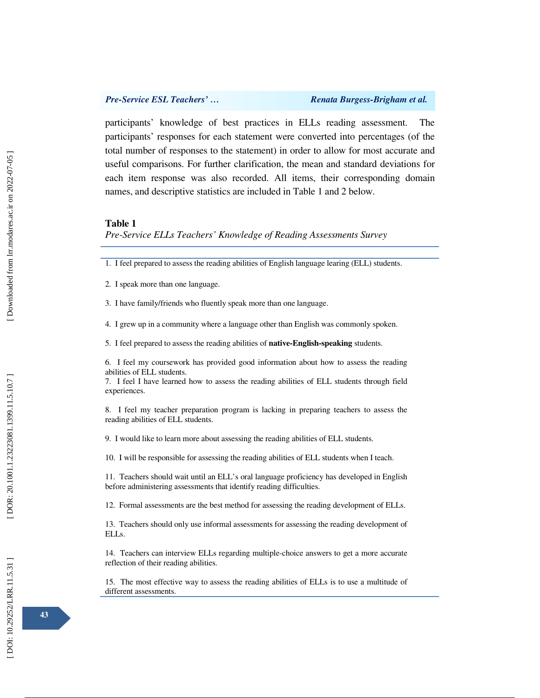Ī

participants' knowledge of best practices in ELLs reading assessment. The participants' responses for each statement were converted into percentages (of the total number of responses to the statement) in order to allow for most accurate and useful comparisons. For further clarification, the mean and standard deviations for each item response was also recorded. All items, their corresponding domain names, and descriptive statistics are included in Table 1 and 2 below.

### **Table 1**

*Pre-Service ELLs Teachers' Knowledge of Reading Assessments Survey* 

1. I feel prepared to assess the reading abilities of English language learing (ELL) students.

2. I speak more than one language.

3. I have family/friends who fluently speak more than one language.

4. I grew up in a community where a language other than English was commonly spoken.

5. I feel prepared to assess the reading abilities of **native-English-speaking** students.

6. I feel my coursework has provided good information about how to assess the reading abilities of ELL students.

7. I feel I have learned how to assess the reading abilities of ELL students through field experiences.

8. I feel my teacher preparation program is lacking in preparing teachers to assess the reading abilities of ELL students.

9. I would like to learn more about assessing the reading abilities of ELL students.

10. I will be responsible for assessing the reading abilities of ELL students when I teach.

11. Teachers should wait until an ELL's oral language proficiency has developed in English before administering assessments that identify reading difficulties.

12. Formal assessments are the best method for assessing the reading development of ELLs.

13. Teachers should only use informal assessments for assessing the reading development of ELLs.

14. Teachers can interview ELLs regarding multiple-choice answers to get a more accurate reflection of their reading abilities.

15. The most effective way to assess the reading abilities of ELLs is to use a multitude of different assessments.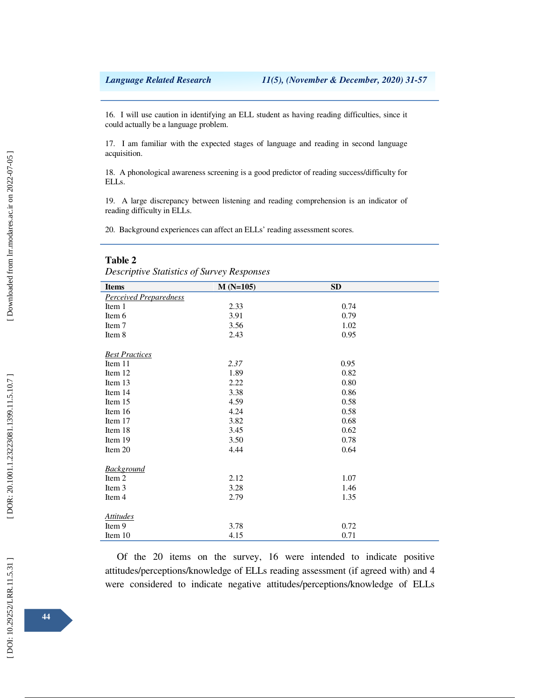16. I will use caution in identifying an ELL student as having reading difficulties, since it could actually be a language problem.

17. I am familiar with the expected stages of language and reading in second language acquisition.

18. A phonological awareness screening is a good predictor of reading success/difficulty for ELLs.

19. A large discrepancy between listening and reading comprehension is an indicator of reading difficulty in ELLs.

20. Background experiences can affect an ELLs' reading assessment scores.

### **Table 2**

*Descriptive Statistics of Survey Responses* 

| <i>Bescriptive Statistics of Sarvey Responses</i> |            |      |  |  |  |
|---------------------------------------------------|------------|------|--|--|--|
| <b>Items</b>                                      | $M(N=105)$ | SD   |  |  |  |
| <b>Perceived Preparedness</b>                     |            |      |  |  |  |
| Item 1                                            | 2.33       | 0.74 |  |  |  |
| Item 6                                            | 3.91       | 0.79 |  |  |  |
| Item 7                                            | 3.56       | 1.02 |  |  |  |
| Item 8                                            | 2.43       | 0.95 |  |  |  |
| <b>Best Practices</b>                             |            |      |  |  |  |
| Item 11                                           | 2.37       | 0.95 |  |  |  |
| Item 12                                           | 1.89       | 0.82 |  |  |  |
| Item 13                                           | 2.22       | 0.80 |  |  |  |
| Item 14                                           | 3.38       | 0.86 |  |  |  |
| Item 15                                           | 4.59       | 0.58 |  |  |  |
| Item 16                                           | 4.24       | 0.58 |  |  |  |
| Item 17                                           | 3.82       | 0.68 |  |  |  |
| Item 18                                           | 3.45       | 0.62 |  |  |  |
| Item 19                                           | 3.50       | 0.78 |  |  |  |
| Item 20                                           | 4.44       | 0.64 |  |  |  |
|                                                   |            |      |  |  |  |
| <b>Background</b>                                 |            |      |  |  |  |
| Item 2                                            | 2.12       | 1.07 |  |  |  |
| Item 3                                            | 3.28       | 1.46 |  |  |  |
| Item 4                                            | 2.79       | 1.35 |  |  |  |
|                                                   |            |      |  |  |  |
| <b>Attitudes</b>                                  |            |      |  |  |  |
| Item 9                                            | 3.78       | 0.72 |  |  |  |
| Item 10                                           | 4.15       | 0.71 |  |  |  |

Of the 20 items on the survey, 16 were intended to indicate positive attitudes/perceptions/knowledge of ELLs reading assessment (if agreed with) and 4 were considered to indicate negative attitudes/perceptions/knowledge of ELLs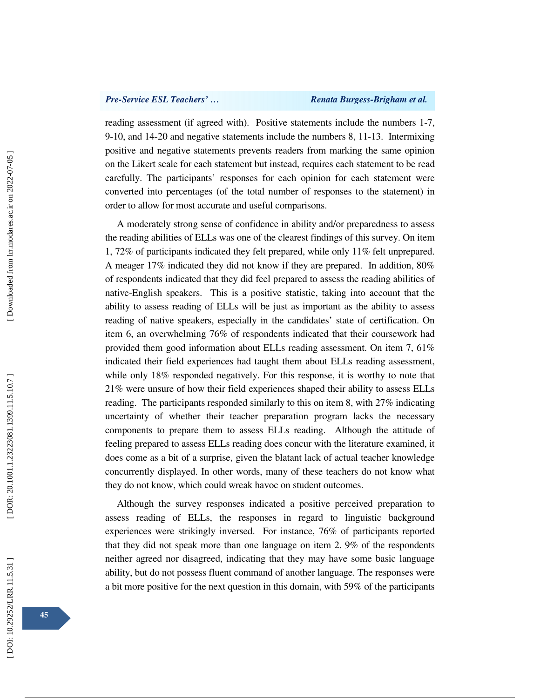reading assessment (if agreed with). Positive statements include the numbers 1-7, 9-10, and 14-20 and negative statements include the numbers 8, 11-13. Intermixing positive and negative statements prevents readers from marking the same opinion on the Likert scale for each statement but instead, requires each statement to be read carefully. The participants' responses for each opinion for each statement were converted into percentages (of the total number of responses to the statement) in order to allow for most accurate and useful comparisons.

A moderately strong sense of confidence in ability and/or preparedness to assess the reading abilities of ELLs was one of the clearest findings of this survey. On item 1, 72% of participants indicated they felt prepared, while only 11% felt unprepared. A meager 17% indicated they did not know if they are prepared. In addition, 80% of respondents indicated that they did feel prepared to assess the reading abilities of native-English speakers. This is a positive statistic, taking into account that the ability to assess reading of ELLs will be just as important as the ability to assess reading of native speakers, especially in the candidates' state of certification. On item 6, an overwhelming 76% of respondents indicated that their coursework had provided them good information about ELLs reading assessment. On item 7, 61% indicated their field experiences had taught them about ELLs reading assessment, while only 18% responded negatively. For this response, it is worthy to note that 21% were unsure of how their field experiences shaped their ability to assess ELLs reading. The participants responded similarly to this on item 8, with 27% indicating uncertainty of whether their teacher preparation program lacks the necessary components to prepare them to assess ELLs reading. Although the attitude of feeling prepared to assess ELLs reading does concur with the literature examined, it does come as a bit of a surprise, given the blatant lack of actual teacher knowledge concurrently displayed. In other words, many of these teachers do not know what they do not know, which could wreak havoc on student outcomes.

Although the survey responses indicated a positive perceived preparation to assess reading of ELLs, the responses in regard to linguistic background experiences were strikingly inversed. For instance, 76% of participants reported that they did not speak more than one language on item 2. 9% of the respondents neither agreed nor disagreed, indicating that they may have some basic language ability, but do not possess fluent command of another language. The responses were a bit more positive for the next question in this domain, with 59% of the participants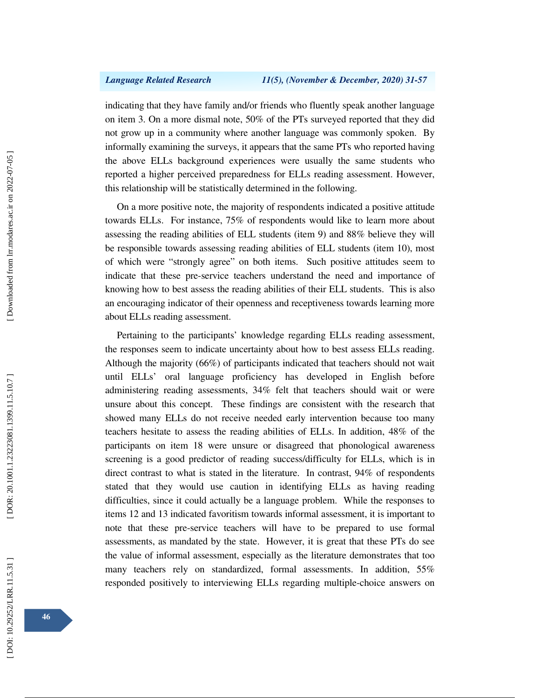indicating that they have family and/or friends who fluently speak another language on item 3. On a more dismal note, 50% of the PTs surveyed reported that they did not grow up in a community where another language was commonly spoken. By informally examining the surveys, it appears that the same PTs who reported having the above ELLs background experiences were usually the same students who reported a higher perceived preparedness for ELLs reading assessment. However, this relationship will be statistically determined in the following.

On a more positive note, the majority of respondents indicated a positive attitude towards ELLs. For instance, 75% of respondents would like to learn more about assessing the reading abilities of ELL students (item 9) and 88% believe they will be responsible towards assessing reading abilities of ELL students (item 10), most of which were "strongly agree" on both items. Such positive attitudes seem to indicate that these pre-service teachers understand the need and importance of knowing how to best assess the reading abilities of their ELL students. This is also an encouraging indicator of their openness and receptiveness towards learning more about ELLs reading assessment.

Pertaining to the participants' knowledge regarding ELLs reading assessment, the responses seem to indicate uncertainty about how to best assess ELLs reading. Although the majority (66%) of participants indicated that teachers should not wait until ELLs' oral language proficiency has developed in English before administering reading assessments, 34% felt that teachers should wait or were unsure about this concept. These findings are consistent with the research that showed many ELLs do not receive needed early intervention because too many teachers hesitate to assess the reading abilities of ELLs. In addition, 48% of the participants on item 18 were unsure or disagreed that phonological awareness screening is a good predictor of reading success/difficulty for ELLs, which is in direct contrast to what is stated in the literature . In contrast, 94% of respondents stated that they would use caution in identifying ELLs as having reading difficulties, since it could actually be a language problem. While the responses to items 12 and 13 indicated favoritism towards informal assessment, it is important to note that these pre-service teachers will have to be prepared to use formal assessments, as mandated by the state. However, it is great that these PTs do see the value of informal assessment, especially as the literature demonstrates that too many teachers rely on standardized, formal assessments. In addition, 55% responded positively to interviewing ELLs regarding multiple-choice answers on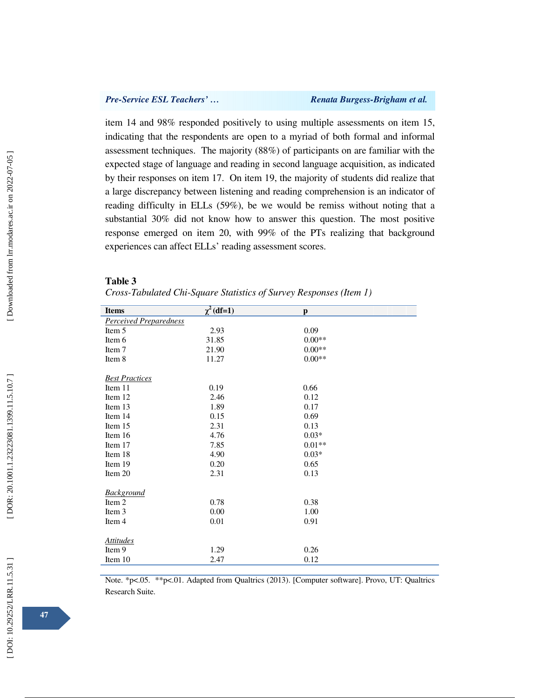# *Pre-Service ESL Teachers'* ... <br>Renata Burgess-Brigham et al.

item 14 and 98% responded positively to using multiple assessments on item 15, indicating that the respondents are open to a myriad of both formal and informal assessment techniques. The majority (88%) of participants on are familiar with the expected stage of language and reading in second language acquisition, as indicated by their responses on item 17. On item 19, the majority of students did realize that a large discrepancy between listening and reading comprehension is an indicator of reading difficulty in ELLs (59%), be we would be remiss without noting that a substantial 30% did not know how to answer this question. The most positive response emerged on item 20, with 99% of the PTs realizing that background experiences can affect ELLs' reading assessment scores.

### **Table 3**

| Cross-Tabulated Chi-Square Statistics of Survey Responses (Item 1) |  |  |  |
|--------------------------------------------------------------------|--|--|--|
|                                                                    |  |  |  |

| $\chi^2$ (df=1) | $\mathbf{p}$ |  |
|-----------------|--------------|--|
|                 |              |  |
| 2.93            | 0.09         |  |
| 31.85           | $0.00**$     |  |
| 21.90           | $0.00**$     |  |
| 11.27           | $0.00**$     |  |
|                 |              |  |
| 0.19            | 0.66         |  |
| 2.46            | 0.12         |  |
| 1.89            | 0.17         |  |
| 0.15            | 0.69         |  |
| 2.31            | 0.13         |  |
| 4.76            | $0.03*$      |  |
| 7.85            | $0.01**$     |  |
| 4.90            | $0.03*$      |  |
| 0.20            | 0.65         |  |
| 2.31            | 0.13         |  |
|                 |              |  |
| 0.78            | 0.38         |  |
| 0.00            | 1.00         |  |
| 0.01            | 0.91         |  |
|                 |              |  |
| 1.29            | 0.26         |  |
| 2.47            | 0.12         |  |
|                 |              |  |

Note. \*p<.05. \*\*p<.01. Adapted from Qualtrics (2013). [Computer software]. Provo, UT: Qualtrics Research Suite.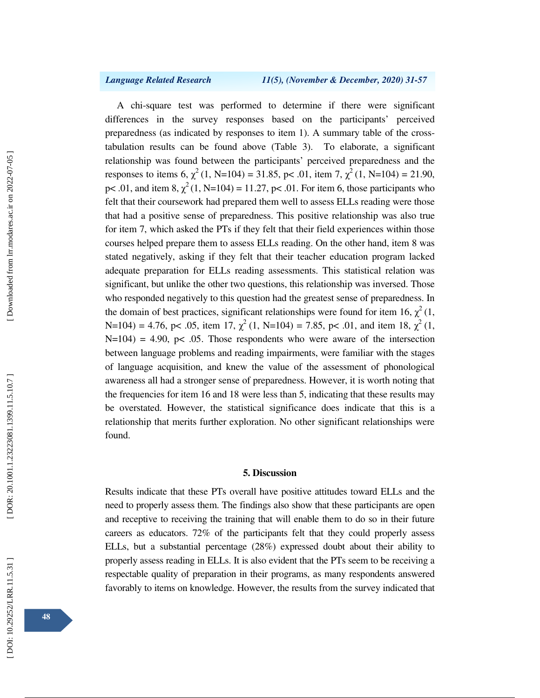A chi-square test was performed to determine if there were significant differences in the survey responses based on the participants' perceived preparedness (as indicated by responses to item 1). A summary table of the crosstabulation results can be found above (Table 3). To elaborate, a significant relationship was found between the participants' perceived preparedness and the responses to items 6,  $\chi^2$  (1, N=104) = 31.85, p < .01, item 7,  $\chi^2$  (1, N=104) = 21.90, p < .01, and item 8,  $\chi^2(1, N=104) = 11.27$ , p < .01. For item 6, those participants who felt that their coursework had prepared them well to assess ELLs reading were those that had a positive sense of preparedness. This positive relationship was also true for item 7, which asked the PTs if they felt that their field experiences within those courses helped prepare them to assess ELLs reading. On the other hand, item 8 was stated negatively, asking if they felt that their teacher education program lacked adequate preparation for ELLs reading assessments. This statistical relation was significant, but unlike the other two questions, this relationship was inversed. Those who responded negatively to this question had the greatest sense of preparedness. In the domain of best practices, significant relationships were found for item 16,  $\chi^2(1)$ , N=104) = 4.76, p< .05, item 17,  $\chi^2$  (1, N=104) = 7.85, p< .01, and item 18,  $\chi^2$  (1,  $N=104$ ) = 4.90, p< .05. Those respondents who were aware of the intersection between language problems and reading impairments, were familiar with the stages of language acquisition, and knew the value of the assessment of phonological awareness all had a stronger sense of preparedness. However, it is worth noting that the frequencies for item 16 and 18 were less than 5, indicating that these results may be overstated. However, the statistical significance does indicate that this is a relationship that merits further exploration. No other significant relationships were found.

### **5. Discussion**

Results indicate that these PTs overall have positive attitudes toward ELLs and the need to properly assess them. The findings also show that these participants are open and receptive to receiving the training that will enable them to do so in their future careers as educators. 72% of the participants felt that they could properly assess ELLs, but a substantial percentage (28%) expressed doubt about their ability to properly assess reading in ELLs. It is also evident that the PTs seem to be receiving a respectable quality of preparation in their programs, as many respondents answered favorably to items on knowledge. However, the results from the survey indicated that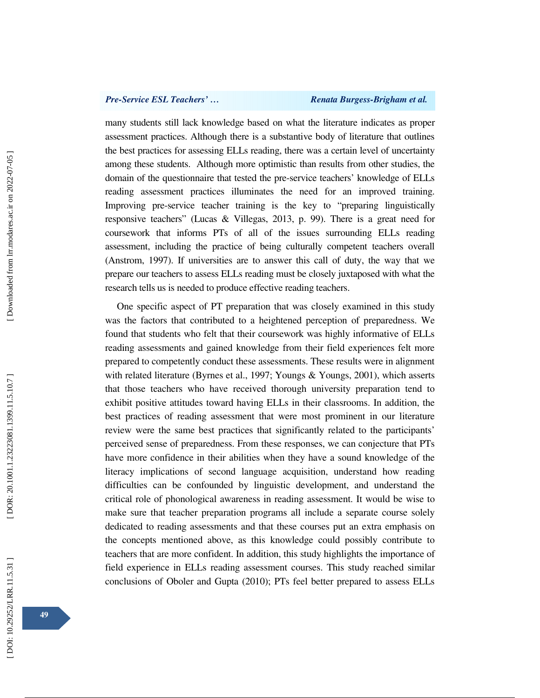### *Pre-Service ESL Teachers'* ... *Renata Burgess-Brigham et al.*

many students still lack knowledge based on what the literature indicates as proper assessment practices. Although there is a substantive body of literature that outlines the best practices for assessing ELLs reading, there was a certain level of uncertainty among these students. Although more optimistic than results from other studies, the domain of the questionnaire that tested the pre-service teachers' knowledge of ELLs reading assessment practices illuminates the need for an improved training. Improving pre-service teacher training is the key to "preparing linguistically responsive teachers" (Lucas & Villegas, 2013, p. 99). There is a great need for coursework that informs PTs of all of the issues surrounding ELLs reading assessment, including the practice of being culturally competent teachers overall (Anstrom, 1997). If universities are to answer this call of duty, the way that we prepare our teachers to assess ELLs reading must be closely juxtaposed with what the research tells us is needed to produce effective reading teachers.

One specific aspect of PT preparation that was closely examined in this study was the factors that contributed to a heightened perception of preparedness. We found that students who felt that their coursework was highly informative of ELLs reading assessments and gained knowledge from their field experiences felt more prepared to competently conduct these assessments. These results were in alignment with related literature (Byrnes et al., 1997; Youngs & Youngs, 2001), which asserts that those teachers who have received thorough university preparation tend to exhibit positive attitudes toward having ELLs in their classrooms. In addition, the best practices of reading assessment that were most prominent in our literature review were the same best practices that significantly related to the participants' perceived sense of preparedness. From these responses, we can conjecture that PTs have more confidence in their abilities when they have a sound knowledge of the literacy implications of second language acquisition, understand how reading difficulties can be confounded by linguistic development, and understand the critical role of phonological awareness in reading assessment. It would be wise to make sure that teacher preparation programs all include a separate course solely dedicated to reading assessments and that these courses put an extra emphasis on the concepts mentioned above, as this knowledge could possibly contribute to teachers that are more confident. In addition, this study highlights the importance of field experience in ELLs reading assessment courses. This study reached similar conclusions of Oboler and Gupta (2010); PTs feel better prepared to assess ELLs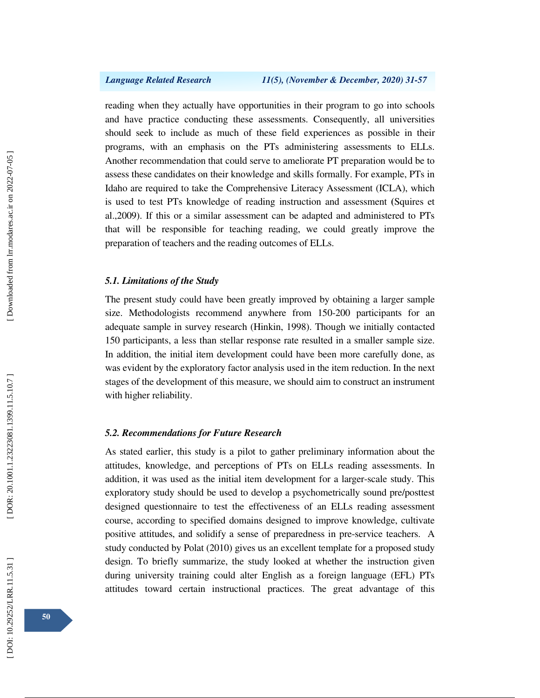reading when they actually have opportunities in their program to go into schools and have practice conducting these assessments. Consequently, all universities should seek to include as much of these field experiences as possible in their programs, with an emphasis on the PTs administering assessments to ELLs. Another recommendation that could serve to ameliorate PT preparation would be to assess these candidates on their knowledge and skills formally. For example, PTs in Idaho are required to take the Comprehensive Literacy Assessment (ICLA), which is used to test PTs knowledge of reading instruction and assessment **(**Squires et al.,2009). If this or a similar assessment can be adapted and administered to PTs that will be responsible for teaching reading, we could greatly improve the preparation of teachers and the reading outcomes of ELLs.

# *5.1. Limitations of the Study*

The present study could have been greatly improved by obtaining a larger sample size. Methodologists recommend anywhere from 150-200 participants for an adequate sample in survey research (Hinkin, 1998). Though we initially contacted 150 participants, a less than stellar response rate resulted in a smaller sample size. In addition, the initial item development could have been more carefully done, as was evident by the exploratory factor analysis used in the item reduction. In the next stages of the development of this measure, we should aim to construct an instrument with higher reliability.

# *5.2. Recommendations for Future Research*

As stated earlier, this study is a pilot to gather preliminary information about the attitudes, knowledge, and perceptions of PTs on ELLs reading assessments. In addition, it was used as the initial item development for a larger-scale study. This exploratory study should be used to develop a psychometrically sound pre/posttest designed questionnaire to test the effectiveness of an ELLs reading assessment course, according to specified domains designed to improve knowledge, cultivate positive attitudes, and solidify a sense of preparedness in pre-service teachers. A study conducted by Polat (2010) gives us an excellent template for a proposed study design. To briefly summarize, the study looked at whether the instruction given during university training could alter English as a foreign language (EFL) PTs attitudes toward certain instructional practices. The great advantage of this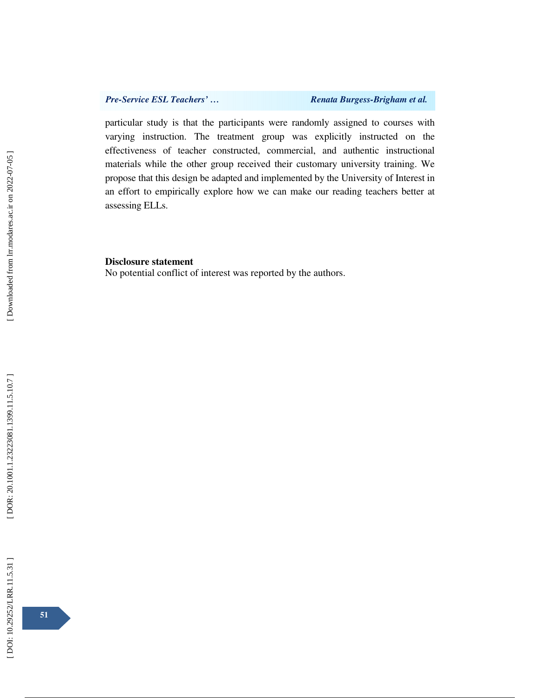particular study is that the participants were randomly assigned to courses with varying instruction. The treatment group was explicitly instructed on the effectiveness of teacher constructed, commercial, and authentic instructional materials while the other group received their customary university training. We propose that this design be adapted and implemented by the University of Interest in an effort to empirically explore how we can make our reading teachers better at assessing ELLs.

### **Disclosure statement**

No potential conflict of interest was reported by the authors.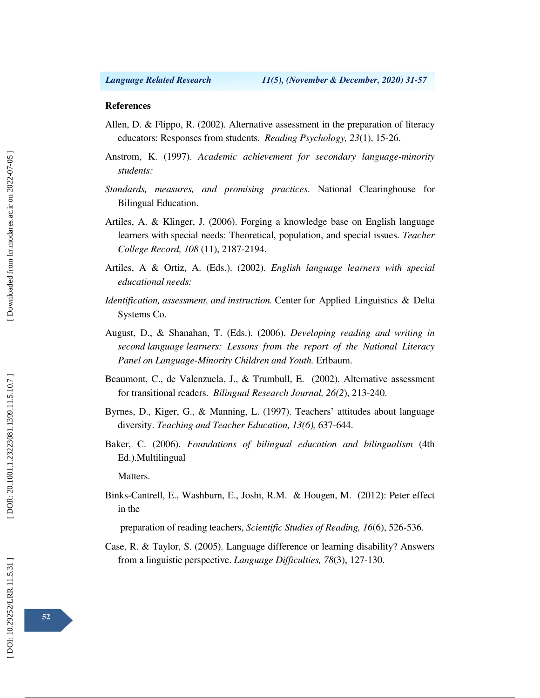### **References**

- Allen, D. & Flippo, R. (2002). Alternative assessment in the preparation of literacy educators: Responses from students. *Reading Psychology, 23*(1), 15-26.
- Anstrom, K. (1997). *Academic achievement for secondary language-minority students:*
- *Standards, measures, and promising practices*. National Clearinghouse for Bilingual Education.
- Artiles, A. & Klinger, J. (2006). Forging a knowledge base on English language learners with special needs: Theoretical, population, and special issues. *Teacher College Record, 108* (11), 2187-2194.
- Artiles, A & Ortiz, A. (Eds.). (2002). *English language learners with special educational needs:*
- *Identification, assessment, and instruction.* Center for Applied Linguistics & Delta Systems Co.
- August, D., & Shanahan, T. (Eds.). (2006). *Developing reading and writing in second language learners: Lessons from the report of the National Literacy Panel on Language-Minority Children and Youth.* Erlbaum.
- Beaumont, C., de Valenzuela, J., & Trumbull, E. (2002). Alternative assessment for transitional readers. *Bilingual Research Journal, 26(2*), 213-240.
- Byrnes, D., Kiger, G., & Manning, L. (1997). Teachers' attitudes about language diversity. *Teaching and Teacher Education, 13(6),* 637-644.
- Baker, C. (2006). *Foundations of bilingual education and bilingualism* (4th Ed.).Multilingual

Matters.

Binks-Cantrell, E., Washburn, E., Joshi, R.M. & Hougen, M. (2012): Peter effect in the

preparation of reading teachers, *Scientific Studies of Reading, 16*(6), 526-536.

Case, R. & Taylor, S. (2005). Language difference or learning disability? Answers from a linguistic perspective. *Language Difficulties, 78*(3), 127-130.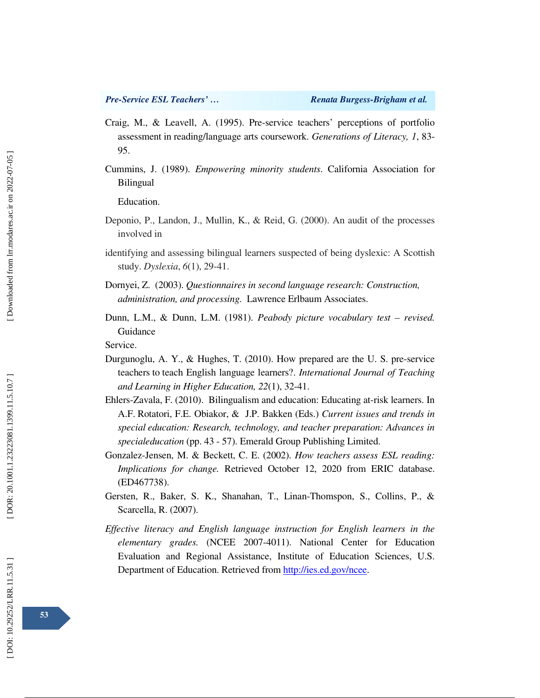- Craig, M., & Leavell, A. (1995). Pre-service teachers' perceptions of portfolio assessment in reading/language arts coursework. *Generations of Literacy, 1*, 83- 95.
- Cummins, J. (1989). *Empowering minority students*. California Association for Bilingual

Education.

- Deponio, P., Landon, J., Mullin, K., & Reid, G. (2000). An audit of the processes involved in
- identifying and assessing bilingual learners suspected of being dyslexic: A Scottish study. *Dyslexia*, *6*(1), 29-41.
- Dornyei, Z. (2003). *Questionnaires in second language research: Construction, administration, and processing.* Lawrence Erlbaum Associates.
- Dunn, L.M., & Dunn, L.M. (1981). *Peabody picture vocabulary test revised.*  Guidance

Service.

- Durgunoglu, A. Y., & Hughes, T. (2010). How prepared are the U. S. pre-service teachers to teach English language learners?. *International Journal of Teaching and Learning in Higher Education, 22*(1), 32-41.
- Ehlers-Zavala, F. (2010). Bilingualism and education: Educating at-risk learners. In A.F. Rotatori, F.E. Obiakor, & J.P. Bakken (Eds.) *Current issues and trends in special education: Research, technology, and teacher preparation: Advances in specialeducation* (pp. 43 - 57). Emerald Group Publishing Limited.
- Gonzalez-Jensen, M. & Beckett, C. E. (2002). *How teachers assess ESL reading: Implications for change.* Retrieved October 12, 2020 from ERIC database. (ED467738).
- Gersten, R., Baker, S. K., Shanahan, T., Linan-Thomspon, S., Collins, P., & Scarcella, R. (2007).
- *Effective literacy and English language instruction for English learners in the elementary grades.* (NCEE 2007-4011). National Center for Education Evaluation and Regional Assistance, Institute of Education Sciences, U.S. Department of Education. Retrieved from http://ies.ed.gov/ncee.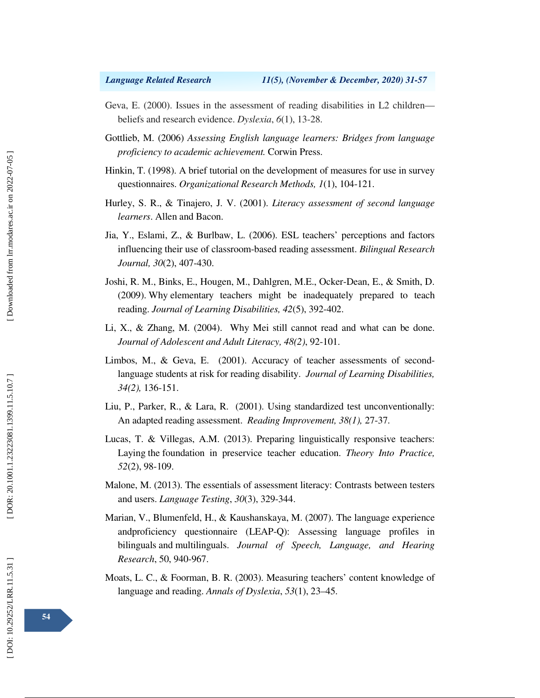- Geva, E. (2000). Issues in the assessment of reading disabilities in L2 children beliefs and research evidence. *Dyslexia*, *6*(1), 13-28.
- Gottlieb, M. (2006) *Assessing English language learners: Bridges from language proficiency to academic achievement.* Corwin Press.
- Hinkin, T. (1998). A brief tutorial on the development of measures for use in survey questionnaires. *Organizational Research Methods, 1*(1), 104-121.
- Hurley, S. R., & Tinajero, J. V. (2001). *Literacy assessment of second language learners*. Allen and Bacon.
- Jia, Y., Eslami, Z., & Burlbaw, L. (2006). ESL teachers' perceptions and factors influencing their use of classroom-based reading assessment. *Bilingual Research Journal, 30*(2), 407-430.
- Joshi, R. M., Binks, E., Hougen, M., Dahlgren, M.E., Ocker-Dean, E., & Smith, D. (2009). Why elementary teachers might be inadequately prepared to teach reading. *Journal of Learning Disabilities, 42*(5), 392-402.
- Li, X., & Zhang, M. (2004). Why Mei still cannot read and what can be done. *Journal of Adolescent and Adult Literacy, 48(2)*, 92-101.
- Limbos, M., & Geva, E. (2001). Accuracy of teacher assessments of secondlanguage students at risk for reading disability. *Journal of Learning Disabilities, 34(2),* 136-151.
- Liu, P., Parker, R., & Lara, R. (2001). Using standardized test unconventionally: An adapted reading assessment. *Reading Improvement, 38(1),* 27-37.
- Lucas, T. & Villegas, A.M. (2013). Preparing linguistically responsive teachers: Laying the foundation in preservice teacher education. *Theory Into Practice, 52*(2), 98-109.
- Malone, M. (2013). The essentials of assessment literacy: Contrasts between testers and users. *Language Testing*, *30*(3), 329-344.
- Marian, V., Blumenfeld, H., & Kaushanskaya, M. (2007). The language experience andproficiency questionnaire (LEAP-Q): Assessing language profiles in bilinguals and multilinguals. *Journal of Speech, Language, and Hearing Research*, 50, 940-967.
- Moats, L. C., & Foorman, B. R. (2003). Measuring teachers' content knowledge of language and reading. *Annals of Dyslexia*, *53*(1), 23–45.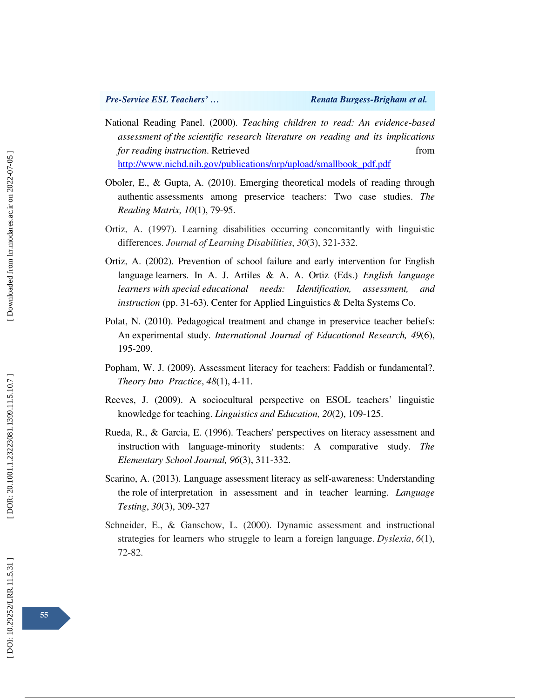- National Reading Panel. (2000). *Teaching children to read: An evidence-based assessment of the scientific research literature on reading and its implications for reading instruction*. Retrieved from http://www.nichd.nih.gov/publications/nrp/upload/smallbook\_pdf.pdf
- Oboler, E., & Gupta, A. (2010). Emerging theoretical models of reading through authentic assessments among preservice teachers: Two case studies. *The Reading Matrix, 10*(1), 79-95.
- Ortiz, A. (1997). Learning disabilities occurring concomitantly with linguistic differences. *Journal of Learning Disabilities*, *30*(3), 321-332.
- Ortiz, A. (2002). Prevention of school failure and early intervention for English language learners. In A. J. Artiles & A. A. Ortiz (Eds.) *English language learners with special educational needs: Identification, assessment, and instruction* (pp. 31-63). Center for Applied Linguistics & Delta Systems Co.
- Polat, N. (2010). Pedagogical treatment and change in preservice teacher beliefs: An experimental study. *International Journal of Educational Research, 49*(6), 195-209.
- Popham, W. J. (2009). Assessment literacy for teachers: Faddish or fundamental?. *Theory Into Practice*, *48*(1), 4-11.
- Reeves, J. (2009). A sociocultural perspective on ESOL teachers' linguistic knowledge for teaching. *Linguistics and Education, 20*(2), 109-125.
- Rueda, R., & Garcia, E. (1996). Teachers' perspectives on literacy assessment and instruction with language-minority students: A comparative study. *The Elementary School Journal, 96*(3), 311-332.
- Scarino, A. (2013). Language assessment literacy as self-awareness: Understanding the role of interpretation in assessment and in teacher learning. *Language Testing*, *30*(3), 309-327
- Schneider, E., & Ganschow, L. (2000). Dynamic assessment and instructional strategies for learners who struggle to learn a foreign language. *Dyslexia*, *6*(1), 72-82.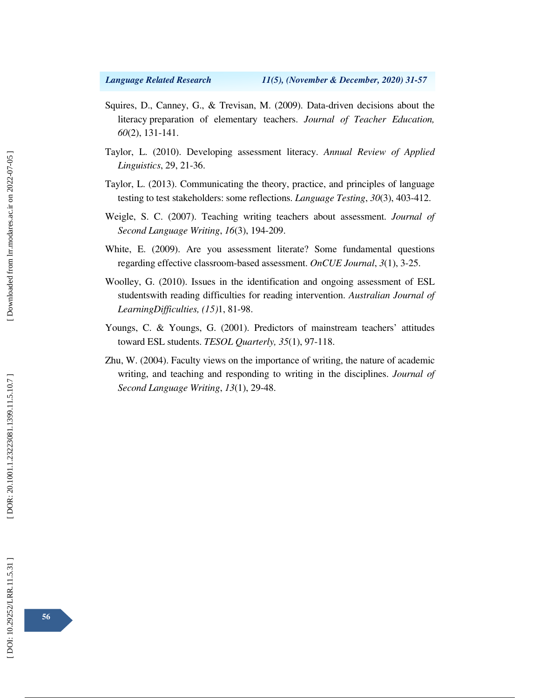- Squires, D., Canney, G., & Trevisan, M. (2009). Data-driven decisions about the literacy preparation of elementary teachers. *Journal of Teacher Education, 60*(2), 131-141.
- Taylor, L. (2010). Developing assessment literacy. *Annual Review of Applied Linguistics*, 29, 21-36.
- Taylor, L. (2013). Communicating the theory, practice, and principles of language testing to test stakeholders: some reflections. *Language Testing*, *30*(3), 403-412.
- Weigle, S. C. (2007). Teaching writing teachers about assessment. *Journal of Second Language Writing*, *16*(3), 194-209.
- White, E. (2009). Are you assessment literate? Some fundamental questions regarding effective classroom-based assessment. *OnCUE Journal*, *3*(1), 3-25.
- Woolley, G. (2010). Issues in the identification and ongoing assessment of ESL studentswith reading difficulties for reading intervention. *Australian Journal of LearningDifficulties, (15)*1, 81-98.
- Youngs, C. & Youngs, G. (2001). Predictors of mainstream teachers' attitudes toward ESL students. *TESOL Quarterly, 35*(1), 97-118.
- Zhu, W. (2004). Faculty views on the importance of writing, the nature of academic writing, and teaching and responding to writing in the disciplines. *Journal of Second Language Writing*, *13*(1), 29-48.